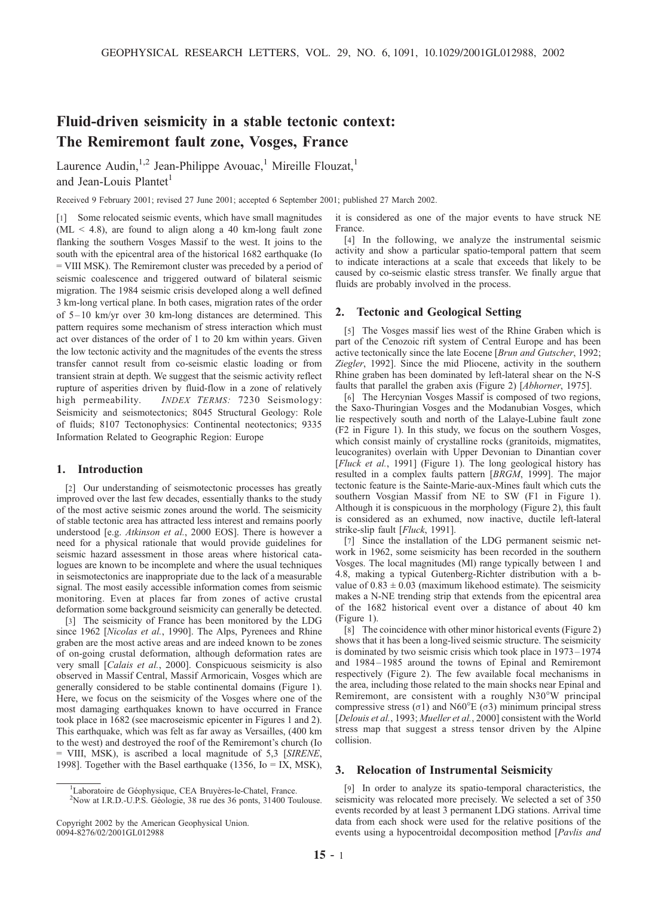# Fluid-driven seismicity in a stable tectonic context: The Remiremont fault zone, Vosges, France

Laurence Audin,<sup>1,2</sup> Jean-Philippe Avouac,<sup>1</sup> Mireille Flouzat,<sup>1</sup> and Jean-Louis Plantet<sup>1</sup>

Received 9 February 2001; revised 27 June 2001; accepted 6 September 2001; published 27 March 2002.

[1] Some relocated seismic events, which have small magnitudes  $(ML < 4.8)$ , are found to align along a 40 km-long fault zone flanking the southern Vosges Massif to the west. It joins to the south with the epicentral area of the historical 1682 earthquake (Io = VIII MSK). The Remiremont cluster was preceded by a period of seismic coalescence and triggered outward of bilateral seismic migration. The 1984 seismic crisis developed along a well defined 3 km-long vertical plane. In both cases, migration rates of the order of 5 – 10 km/yr over 30 km-long distances are determined. This pattern requires some mechanism of stress interaction which must act over distances of the order of 1 to 20 km within years. Given the low tectonic activity and the magnitudes of the events the stress transfer cannot result from co-seismic elastic loading or from transient strain at depth. We suggest that the seismic activity reflect rupture of asperities driven by fluid-flow in a zone of relatively high permeability. *INDEX TERMS:* 7230 Seismology: Seismicity and seismotectonics; 8045 Structural Geology: Role of fluids; 8107 Tectonophysics: Continental neotectonics; 9335 Information Related to Geographic Region: Europe

## 1. Introduction

[2] Our understanding of seismotectonic processes has greatly improved over the last few decades, essentially thanks to the study of the most active seismic zones around the world. The seismicity of stable tectonic area has attracted less interest and remains poorly understood [e.g. Atkinson et al., 2000 EOS]. There is however a need for a physical rationale that would provide guidelines for seismic hazard assessment in those areas where historical catalogues are known to be incomplete and where the usual techniques in seismotectonics are inappropriate due to the lack of a measurable signal. The most easily accessible information comes from seismic monitoring. Even at places far from zones of active crustal deformation some background seismicity can generally be detected.

[3] The seismicity of France has been monitored by the LDG since 1962 [Nicolas et al., 1990]. The Alps, Pyrenees and Rhine graben are the most active areas and are indeed known to be zones of on-going crustal deformation, although deformation rates are very small [Calais et al., 2000]. Conspicuous seismicity is also observed in Massif Central, Massif Armoricain, Vosges which are generally considered to be stable continental domains (Figure 1). Here, we focus on the seismicity of the Vosges where one of the most damaging earthquakes known to have occurred in France took place in 1682 (see macroseismic epicenter in Figures 1 and 2). This earthquake, which was felt as far away as Versailles, (400 km to the west) and destroyed the roof of the Remiremont's church (Io = VIII, MSK), is ascribed a local magnitude of 5,3 [SIRENE, 1998]. Together with the Basel earthquake (1356, Io = IX, MSK),

it is considered as one of the major events to have struck NE France.

[4] In the following, we analyze the instrumental seismic activity and show a particular spatio-temporal pattern that seem to indicate interactions at a scale that exceeds that likely to be caused by co-seismic elastic stress transfer. We finally argue that fluids are probably involved in the process.

#### 2. Tectonic and Geological Setting

[5] The Vosges massif lies west of the Rhine Graben which is part of the Cenozoic rift system of Central Europe and has been active tectonically since the late Eocene [Brun and Gutscher, 1992; Ziegler, 1992]. Since the mid Pliocene, activity in the southern Rhine graben has been dominated by left-lateral shear on the N-S faults that parallel the graben axis (Figure 2) [Abhorner, 1975].

[6] The Hercynian Vosges Massif is composed of two regions, the Saxo-Thuringian Vosges and the Modanubian Vosges, which lie respectively south and north of the Lalaye-Lubine fault zone (F2 in Figure 1). In this study, we focus on the southern Vosges, which consist mainly of crystalline rocks (granitoids, migmatites, leucogranites) overlain with Upper Devonian to Dinantian cover [Fluck et al., 1991] (Figure 1). The long geological history has resulted in a complex faults pattern [BRGM, 1999]. The major tectonic feature is the Sainte-Marie-aux-Mines fault which cuts the southern Vosgian Massif from NE to SW (F1 in Figure 1). Although it is conspicuous in the morphology (Figure 2), this fault is considered as an exhumed, now inactive, ductile left-lateral strike-slip fault [Fluck, 1991].

[7] Since the installation of the LDG permanent seismic network in 1962, some seismicity has been recorded in the southern Vosges. The local magnitudes (Ml) range typically between 1 and 4.8, making a typical Gutenberg-Richter distribution with a bvalue of  $0.83 \pm 0.03$  (maximum likehood estimate). The seismicity makes a N-NE trending strip that extends from the epicentral area of the 1682 historical event over a distance of about 40 km (Figure 1).

[8] The coincidence with other minor historical events (Figure 2) shows that it has been a long-lived seismic structure. The seismicity is dominated by two seismic crisis which took place in 1973 – 1974 and 1984 – 1985 around the towns of Epinal and Remiremont respectively (Figure 2). The few available focal mechanisms in the area, including those related to the main shocks near Epinal and Remiremont, are consistent with a roughly N30°W principal compressive stress ( $\sigma$ 1) and N60°E ( $\sigma$ 3) minimum principal stress [Delouis et al., 1993; Mueller et al., 2000] consistent with the World stress map that suggest a stress tensor driven by the Alpine collision.

#### 3. Relocation of Instrumental Seismicity

[9] In order to analyze its spatio-temporal characteristics, the seismicity was relocated more precisely. We selected a set of 350 events recorded by at least 3 permanent LDG stations. Arrival time data from each shock were used for the relative positions of the events using a hypocentroidal decomposition method [*Pavlis and* 

<sup>&</sup>lt;sup>1</sup>Laboratoire de Géophysique, CEA Bruyères-le-Chatel, France. <sup>2</sup>Now at LP D, LLPS, Géologie, <sup>28</sup> rue des 36 ponts, <sup>21400</sup> To

 $2$ Now at I.R.D.-U.P.S. Géologie, 38 rue des 36 ponts, 31400 Toulouse.

Copyright 2002 by the American Geophysical Union. 0094-8276/02/2001GL012988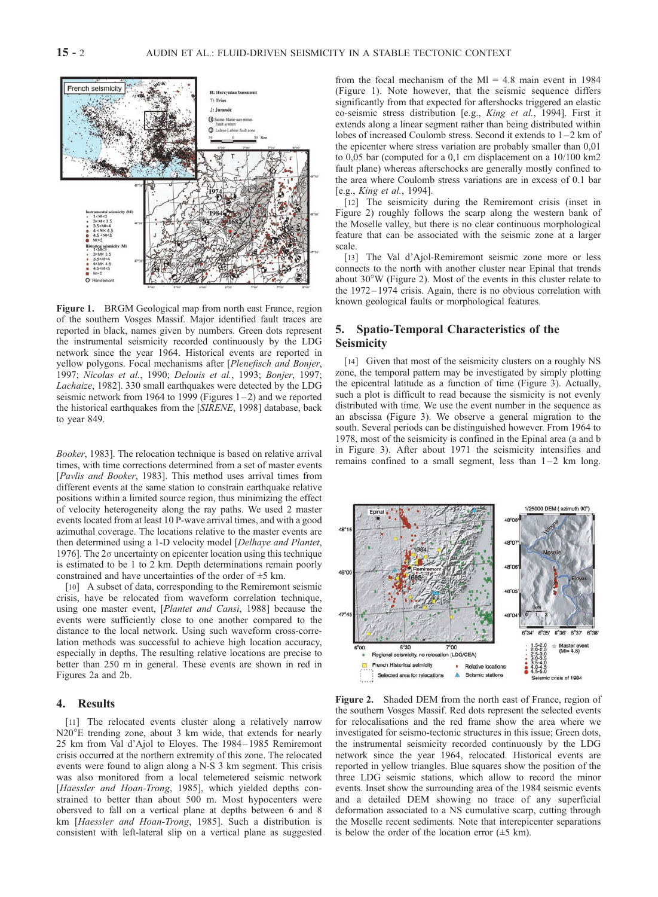

Figure 1. BRGM Geological map from north east France, region of the southern Vosges Massif. Major identified fault traces are reported in black, names given by numbers. Green dots represent the instrumental seismicity recorded continuously by the LDG network since the year 1964. Historical events are reported in yellow polygons. Focal mechanisms after [Plenefisch and Bonjer, 1997; Nicolas et al., 1990; Delouis et al., 1993; Bonjer, 1997; Lachaize, 1982]. 330 small earthquakes were detected by the LDG seismic network from 1964 to 1999 (Figures  $1-2$ ) and we reported the historical earthquakes from the [SIRENE, 1998] database, back to year 849.

Booker, 1983]. The relocation technique is based on relative arrival times, with time corrections determined from a set of master events [Pavlis and Booker, 1983]. This method uses arrival times from different events at the same station to constrain earthquake relative positions within a limited source region, thus minimizing the effect of velocity heterogeneity along the ray paths. We used 2 master events located from at least 10 P-wave arrival times, and with a good azimuthal coverage. The locations relative to the master events are then determined using a 1-D velocity model [Delhaye and Plantet, 1976]. The  $2\sigma$  uncertainty on epicenter location using this technique is estimated to be 1 to 2 km. Depth determinations remain poorly constrained and have uncertainties of the order of ±5 km.

[10] A subset of data, corresponding to the Remiremont seismic crisis, have be relocated from waveform correlation technique, using one master event, [Plantet and Cansi, 1988] because the events were sufficiently close to one another compared to the distance to the local network. Using such waveform cross-correlation methods was successful to achieve high location accuracy, especially in depths. The resulting relative locations are precise to better than 250 m in general. These events are shown in red in Figures 2a and 2b.

#### 4. Results

[11] The relocated events cluster along a relatively narrow N20<sup>o</sup>E trending zone, about 3 km wide, that extends for nearly 25 km from Val d'Ajol to Eloyes. The 1984 – 1985 Remiremont crisis occurred at the northern extremity of this zone. The relocated events were found to align along a N-S 3 km segment. This crisis was also monitored from a local telemetered seismic network [Haessler and Hoan-Trong, 1985], which yielded depths constrained to better than about 500 m. Most hypocenters were obersved to fall on a vertical plane at depths between 6 and 8 km [Haessler and Hoan-Trong, 1985]. Such a distribution is consistent with left-lateral slip on a vertical plane as suggested

from the focal mechanism of the  $MI = 4.8$  main event in 1984 (Figure 1). Note however, that the seismic sequence differs significantly from that expected for aftershocks triggered an elastic co-seismic stress distribution [e.g., King et al., 1994]. First it extends along a linear segment rather than being distributed within lobes of increased Coulomb stress. Second it extends to  $1-2$  km of the epicenter where stress variation are probably smaller than 0,01 to 0,05 bar (computed for a 0,1 cm displacement on a 10/100 km2 fault plane) whereas afterschocks are generally mostly confined to the area where Coulomb stress variations are in excess of 0.1 bar [e.g., King et al., 1994].

[12] The seismicity during the Remiremont crisis (inset in Figure 2) roughly follows the scarp along the western bank of the Moselle valley, but there is no clear continuous morphological feature that can be associated with the seismic zone at a larger scale.

[13] The Val d'Ajol-Remiremont seismic zone more or less connects to the north with another cluster near Epinal that trends about  $30^{\circ}$ W (Figure 2). Most of the events in this cluster relate to the 1972–1974 crisis. Again, there is no obvious correlation with known geological faults or morphological features.

# 5. Spatio-Temporal Characteristics of the Seismicity

[14] Given that most of the seismicity clusters on a roughly NS zone, the temporal pattern may be investigated by simply plotting the epicentral latitude as a function of time (Figure 3). Actually, such a plot is difficult to read because the sismicity is not evenly distributed with time. We use the event number in the sequence as an abscissa (Figure 3). We observe a general migration to the south. Several periods can be distinguished however. From 1964 to 1978, most of the seismicity is confined in the Epinal area (a and b in Figure 3). After about 1971 the seismicity intensifies and remains confined to a small segment, less than  $1-2$  km long.



Figure 2. Shaded DEM from the north east of France, region of the southern Vosges Massif. Red dots represent the selected events for relocalisations and the red frame show the area where we investigated for seismo-tectonic structures in this issue; Green dots, the instrumental seismicity recorded continuously by the LDG network since the year 1964, relocated. Historical events are reported in yellow triangles. Blue squares show the position of the three LDG seismic stations, which allow to record the minor events. Inset show the surrounding area of the 1984 seismic events and a detailed DEM showing no trace of any superficial deformation associated to a NS cumulative scarp, cutting through the Moselle recent sediments. Note that interepicenter separations is below the order of the location error  $(\pm 5 \text{ km})$ .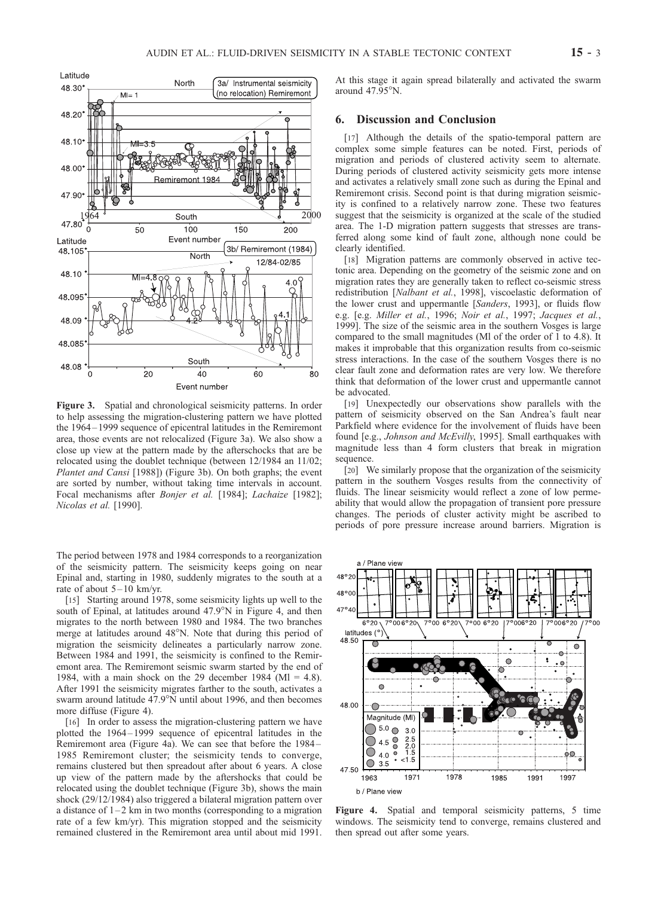



Figure 3. Spatial and chronological seismicity patterns. In order to help assessing the migration-clustering pattern we have plotted the 1964 – 1999 sequence of epicentral latitudes in the Remiremont area, those events are not relocalized (Figure 3a). We also show a close up view at the pattern made by the afterschocks that are be relocated using the doublet technique (between 12/1984 an 11/02; Plantet and Cansi [1988]) (Figure 3b). On both graphs; the event are sorted by number, without taking time intervals in account. Focal mechanisms after Bonjer et al. [1984]; Lachaize [1982]; Nicolas et al. [1990].

The period between 1978 and 1984 corresponds to a reorganization of the seismicity pattern. The seismicity keeps going on near Epinal and, starting in 1980, suddenly migrates to the south at a rate of about  $5 - 10$  km/yr.

[15] Starting around 1978, some seismicity lights up well to the south of Epinal, at latitudes around  $47.9^{\circ}N$  in Figure 4, and then migrates to the north between 1980 and 1984. The two branches merge at latitudes around 48°N. Note that during this period of migration the seismicity delineates a particularly narrow zone. Between 1984 and 1991, the seismicity is confined to the Remiremont area. The Remiremont seismic swarm started by the end of 1984, with a main shock on the 29 december 1984 (MI = 4.8). After 1991 the seismicity migrates farther to the south, activates a swarm around latitude  $47.9^{\circ}$ N until about 1996, and then becomes more diffuse (Figure 4).

[16] In order to assess the migration-clustering pattern we have plotted the 1964 – 1999 sequence of epicentral latitudes in the Remiremont area (Figure 4a). We can see that before the 1984 – 1985 Remiremont cluster; the seismicity tends to converge, remains clustered but then spreadout after about 6 years. A close up view of the pattern made by the aftershocks that could be relocated using the doublet technique (Figure 3b), shows the main shock (29/12/1984) also triggered a bilateral migration pattern over a distance of  $1-2$  km in two months (corresponding to a migration rate of a few km/yr). This migration stopped and the seismicity remained clustered in the Remiremont area until about mid 1991.

At this stage it again spread bilaterally and activated the swarm around  $47.95^{\circ}$ N.

## 6. Discussion and Conclusion

[17] Although the details of the spatio-temporal pattern are complex some simple features can be noted. First, periods of migration and periods of clustered activity seem to alternate. During periods of clustered activity seismicity gets more intense and activates a relatively small zone such as during the Epinal and Remiremont crisis. Second point is that during migration seismicity is confined to a relatively narrow zone. These two features suggest that the seismicity is organized at the scale of the studied area. The 1-D migration pattern suggests that stresses are transferred along some kind of fault zone, although none could be clearly identified.

[18] Migration patterns are commonly observed in active tectonic area. Depending on the geometry of the seismic zone and on migration rates they are generally taken to reflect co-seismic stress redistribution [Nalbant et al., 1998], viscoelastic deformation of the lower crust and uppermantle [Sanders, 1993], or fluids flow e.g. [e.g. Miller et al., 1996; Noir et al., 1997; Jacques et al., 1999]. The size of the seismic area in the southern Vosges is large compared to the small magnitudes (Ml of the order of 1 to 4.8). It makes it improbable that this organization results from co-seismic stress interactions. In the case of the southern Vosges there is no clear fault zone and deformation rates are very low. We therefore think that deformation of the lower crust and uppermantle cannot be advocated.

[19] Unexpectedly our observations show parallels with the pattern of seismicity observed on the San Andrea's fault near Parkfield where evidence for the involvement of fluids have been found [e.g., *Johnson and McEvilly*, 1995]. Small earthquakes with magnitude less than 4 form clusters that break in migration sequence.

[20] We similarly propose that the organization of the seismicity pattern in the southern Vosges results from the connectivity of fluids. The linear seismicity would reflect a zone of low permeability that would allow the propagation of transient pore pressure changes. The periods of cluster activity might be ascribed to periods of pore pressure increase around barriers. Migration is



Figure 4. Spatial and temporal seismicity patterns, 5 time windows. The seismicity tend to converge, remains clustered and then spread out after some years.